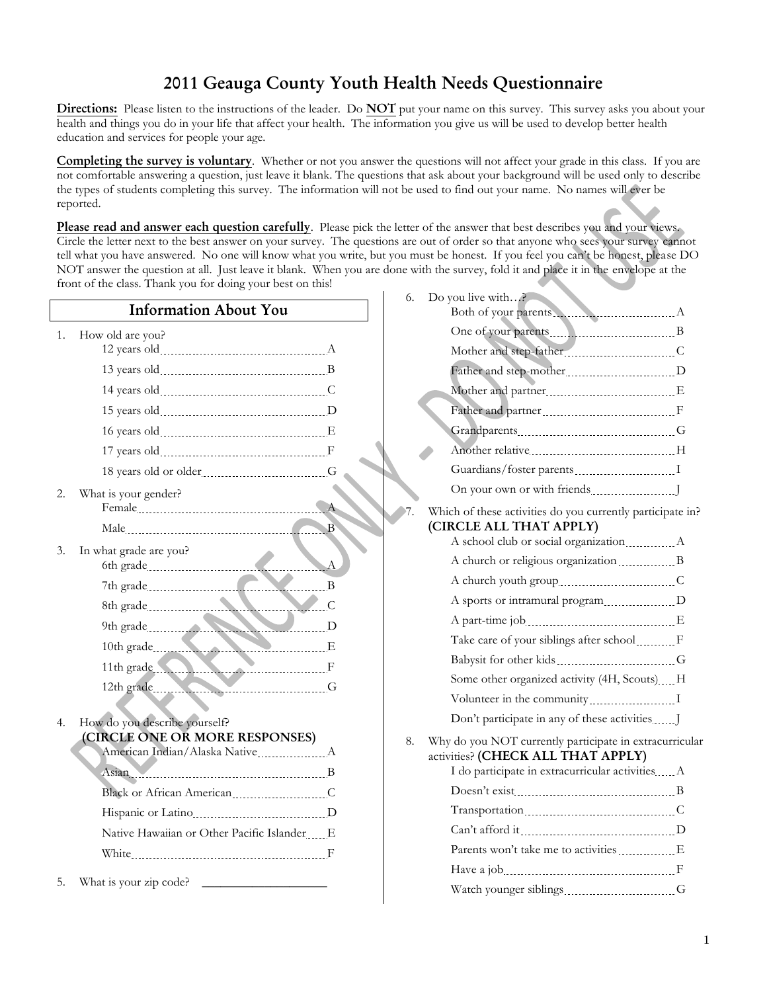## **2011 Geauga County Youth Health Needs Questionnaire**

**Directions:** Please listen to the instructions of the leader. Do **NOT** put your name on this survey. This survey asks you about your health and things you do in your life that affect your health. The information you give us will be used to develop better health education and services for people your age.

**Completing the survey is voluntary**. Whether or not you answer the questions will not affect your grade in this class. If you are not comfortable answering a question, just leave it blank. The questions that ask about your background will be used only to describe the types of students completing this survey. The information will not be used to find out your name. No names will ever be reported.

**Please read and answer each question carefully**. Please pick the letter of the answer that best describes you and your views. Circle the letter next to the best answer on your survey. The questions are out of order so that anyone who sees your survey cannot tell what you have answered. No one will know what you write, but you must be honest. If you feel you can't be honest, please DO NOT answer the question at all. Just leave it blank. When you are done with the survey, fold it and place it in the envelope at the front of the class. Thank you for doing your best on this!

#### **Information About You**

| 1. | How old are you?                                |   |
|----|-------------------------------------------------|---|
|    |                                                 |   |
|    |                                                 |   |
|    |                                                 |   |
|    |                                                 |   |
|    |                                                 |   |
|    |                                                 |   |
|    |                                                 |   |
| 2. | What is your gender?                            |   |
|    |                                                 |   |
|    | Male B                                          |   |
| 3. | In what grade are you?                          |   |
|    |                                                 | А |
|    |                                                 |   |
|    |                                                 |   |
|    | 9th grade D                                     |   |
|    |                                                 |   |
|    | 11th grade Financial Communications F           |   |
|    |                                                 |   |
|    |                                                 |   |
| 4. | How do you describe yourself?                   |   |
|    | (CIRCLE ONE OR MORE RESPONSES)                  |   |
|    |                                                 |   |
|    | Asian B                                         |   |
|    |                                                 |   |
|    |                                                 |   |
|    | Native Hawaiian or Other Pacific Islander ___ E |   |
|    |                                                 |   |
| 5. | What is your zip code?                          |   |

| 6. | Do you live with?<br>Nou live with?                                                           |  |
|----|-----------------------------------------------------------------------------------------------|--|
|    |                                                                                               |  |
|    |                                                                                               |  |
|    |                                                                                               |  |
|    | Mother and partner <b>Matter</b> E                                                            |  |
|    | Father and partner Manual State Bathler Research                                              |  |
|    |                                                                                               |  |
|    |                                                                                               |  |
|    |                                                                                               |  |
|    |                                                                                               |  |
| 7. | Which of these activities do you currently participate in?<br>(CIRCLE ALL THAT APPLY)         |  |
|    | A school club or social organization A                                                        |  |
|    | A church or religious organization B                                                          |  |
|    |                                                                                               |  |
|    | A sports or intramural program D                                                              |  |
|    |                                                                                               |  |
|    | Take care of your siblings after school F                                                     |  |
|    |                                                                                               |  |
|    | Some other organized activity (4H, Scouts) H                                                  |  |
|    |                                                                                               |  |
|    | Don't participate in any of these activities                                                  |  |
| 8. | Why do you NOT currently participate in extracurricular<br>activities? (CHECK ALL THAT APPLY) |  |
|    | I do participate in extracurricular activities A                                              |  |
|    |                                                                                               |  |
|    |                                                                                               |  |
|    |                                                                                               |  |
|    | Parents won't take me to activities  E                                                        |  |
|    |                                                                                               |  |
|    |                                                                                               |  |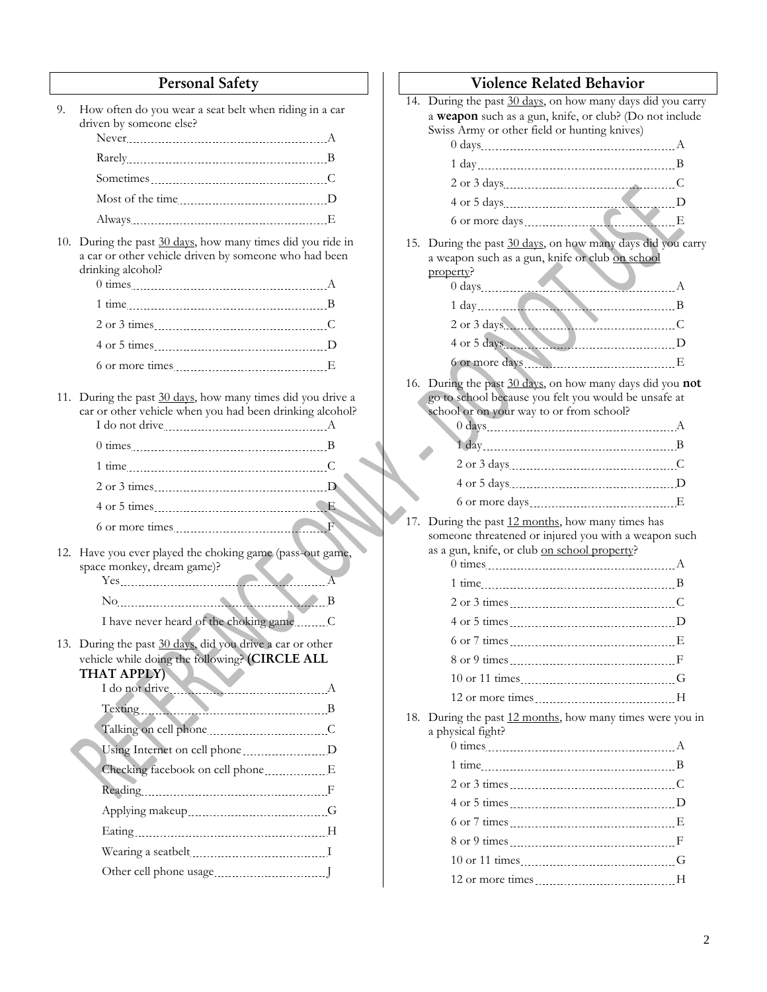| <b>Personal Safety</b>                                                                                                                                |         |
|-------------------------------------------------------------------------------------------------------------------------------------------------------|---------|
| 9.<br>How often do you wear a seat belt when riding in a car<br>driven by someone else?                                                               | 14.     |
|                                                                                                                                                       |         |
|                                                                                                                                                       |         |
|                                                                                                                                                       |         |
|                                                                                                                                                       |         |
| 10.<br>During the past 30 days, how many times did you ride in<br>a car or other vehicle driven by someone who had been<br>drinking alcohol?          | 15. 1   |
|                                                                                                                                                       |         |
|                                                                                                                                                       |         |
|                                                                                                                                                       |         |
|                                                                                                                                                       |         |
| 11. During the past 30 days, how many times did you drive a<br>car or other vehicle when you had been drinking alcohol?                               | $16.$ ] |
|                                                                                                                                                       |         |
|                                                                                                                                                       |         |
|                                                                                                                                                       |         |
|                                                                                                                                                       |         |
|                                                                                                                                                       | 17.     |
| 12. Have you ever played the choking game (pass-out game,<br>space monkey, dream game)?                                                               |         |
| No B                                                                                                                                                  |         |
|                                                                                                                                                       |         |
| 13. During the past 30 days, did you drive a car or other<br>vehicle while doing the following? (CIRCLE ALL<br><b>THAT APPLY)</b><br>I do not drive A |         |
|                                                                                                                                                       |         |
|                                                                                                                                                       | 18. I   |
|                                                                                                                                                       |         |
| Checking facebook on cell phone E                                                                                                                     |         |
|                                                                                                                                                       |         |
|                                                                                                                                                       |         |
|                                                                                                                                                       |         |
|                                                                                                                                                       |         |
|                                                                                                                                                       |         |

|     | Violence Related Behavior                                                                                                   |  |  |  |
|-----|-----------------------------------------------------------------------------------------------------------------------------|--|--|--|
|     | 14. During the past 30 days, on how many days did you carry                                                                 |  |  |  |
|     | a weapon such as a gun, knife, or club? (Do not include<br>Swiss Army or other field or hunting knives)                     |  |  |  |
|     |                                                                                                                             |  |  |  |
|     |                                                                                                                             |  |  |  |
|     | 2 or 3 days C                                                                                                               |  |  |  |
|     |                                                                                                                             |  |  |  |
|     |                                                                                                                             |  |  |  |
|     | 15. During the past 30 days, on how many days did you carry<br>a weapon such as a gun, knife or club on school<br>property? |  |  |  |
|     |                                                                                                                             |  |  |  |
|     |                                                                                                                             |  |  |  |
|     | 2 or 3 days C                                                                                                               |  |  |  |
|     |                                                                                                                             |  |  |  |
|     | 6 or more days Manuscripture E                                                                                              |  |  |  |
|     | 16. During the past 30 days, on how many days did you not                                                                   |  |  |  |
|     | go to school because you felt you would be unsafe at<br>school or on your way to or from school?                            |  |  |  |
|     |                                                                                                                             |  |  |  |
|     |                                                                                                                             |  |  |  |
|     |                                                                                                                             |  |  |  |
|     | 4 or 5 days <u>contained by</u> D                                                                                           |  |  |  |
| 17. | During the past 12 months, how many times has                                                                               |  |  |  |
|     | someone threatened or injured you with a weapon such                                                                        |  |  |  |
|     | as a gun, knife, or club on school property?                                                                                |  |  |  |
|     |                                                                                                                             |  |  |  |
|     |                                                                                                                             |  |  |  |
|     |                                                                                                                             |  |  |  |
|     |                                                                                                                             |  |  |  |
|     | 8 or 9 times F                                                                                                              |  |  |  |
|     |                                                                                                                             |  |  |  |
|     | 12 or more times H                                                                                                          |  |  |  |
| 18. | During the past 12 months, how many times were you in<br>a physical fight?                                                  |  |  |  |
|     |                                                                                                                             |  |  |  |
|     |                                                                                                                             |  |  |  |
|     |                                                                                                                             |  |  |  |
|     |                                                                                                                             |  |  |  |
|     |                                                                                                                             |  |  |  |
|     |                                                                                                                             |  |  |  |
|     |                                                                                                                             |  |  |  |

12 or more times H

2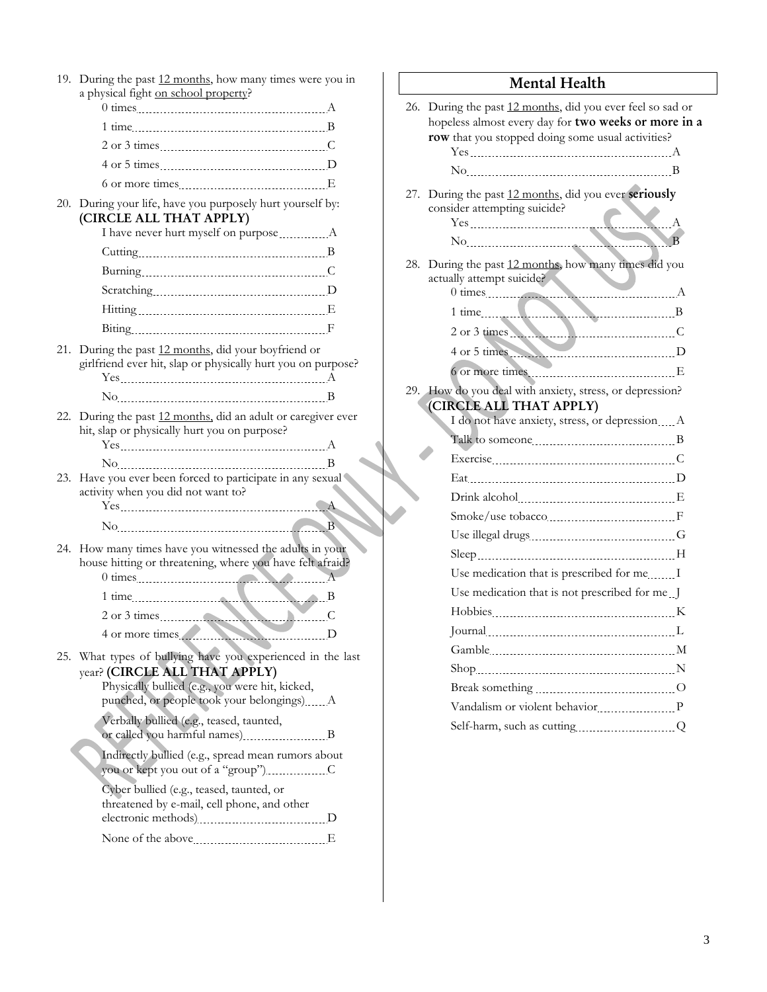|     | 19. During the past 12 months, how many times were you in<br>a physical fight on school property?                     |
|-----|-----------------------------------------------------------------------------------------------------------------------|
|     |                                                                                                                       |
|     |                                                                                                                       |
|     |                                                                                                                       |
|     |                                                                                                                       |
|     |                                                                                                                       |
|     | 20. During your life, have you purposely hurt yourself by:<br>(CIRCLE ALL THAT APPLY)                                 |
|     |                                                                                                                       |
|     |                                                                                                                       |
|     |                                                                                                                       |
|     | Scratching D                                                                                                          |
|     |                                                                                                                       |
|     |                                                                                                                       |
| 21. | During the past 12 months, did your boyfriend or<br>girlfriend ever hit, slap or physically hurt you on purpose?      |
|     | $Yes$ $A$                                                                                                             |
|     |                                                                                                                       |
| 22. | During the past 12 months, did an adult or caregiver ever<br>hit, slap or physically hurt you on purpose?             |
|     |                                                                                                                       |
|     |                                                                                                                       |
| 23. | Have you ever been forced to participate in any sexual                                                                |
|     | activity when you did not want to?                                                                                    |
|     | $Yes$ 4                                                                                                               |
|     | $\sim$ $B$                                                                                                            |
|     | 24. How many times have you witnessed the adults in your<br>house hitting or threatening, where you have felt afraid? |
|     |                                                                                                                       |
|     |                                                                                                                       |
|     | 2 or 3 times C                                                                                                        |
|     | 4 or more times<br>25. What types of bullying have you experienced in the last<br>year? (CIRCLE ALL THAT APPLY)       |
|     | Physically bullied (e.g., you were hit, kicked,<br>punched, or people took your belongings) A                         |
|     | Verbally bullied (e.g., teased, taunted,                                                                              |
|     | Indirectly bullied (e.g., spread mean rumors about                                                                    |
|     | Cyber bullied (e.g., teased, taunted, or<br>threatened by e-mail, cell phone, and other                               |
|     | electronic methods) [10] D                                                                                            |

| Mental Health |                                                                                                                                                                                                                                                                   |  |  |
|---------------|-------------------------------------------------------------------------------------------------------------------------------------------------------------------------------------------------------------------------------------------------------------------|--|--|
|               | 26. During the past 12 months, did you ever feel so sad or<br>hopeless almost every day for two weeks or more in a<br>row that you stopped doing some usual activities?<br>$No$ B                                                                                 |  |  |
| 27.           | During the past 12 months, did you ever seriously<br>consider attempting suicide?<br>$Yes$ $A$<br>No Representation of the B                                                                                                                                      |  |  |
| 28.           | During the past 12 months, how many times did you<br>actually attempt suicide?<br>$0 \text{ times }$ A<br>2 or 3 times C<br>29. How do you deal with anxiety, stress, or depression?<br>(CIRCLE ALL THAT APPLY)<br>I do not have anxiety, stress, or depression A |  |  |
|               | Use medication that is prescribed for me. I<br>Use medication that is not prescribed for me J<br>Hobbies Manual Manual Manual Manual Manual M                                                                                                                     |  |  |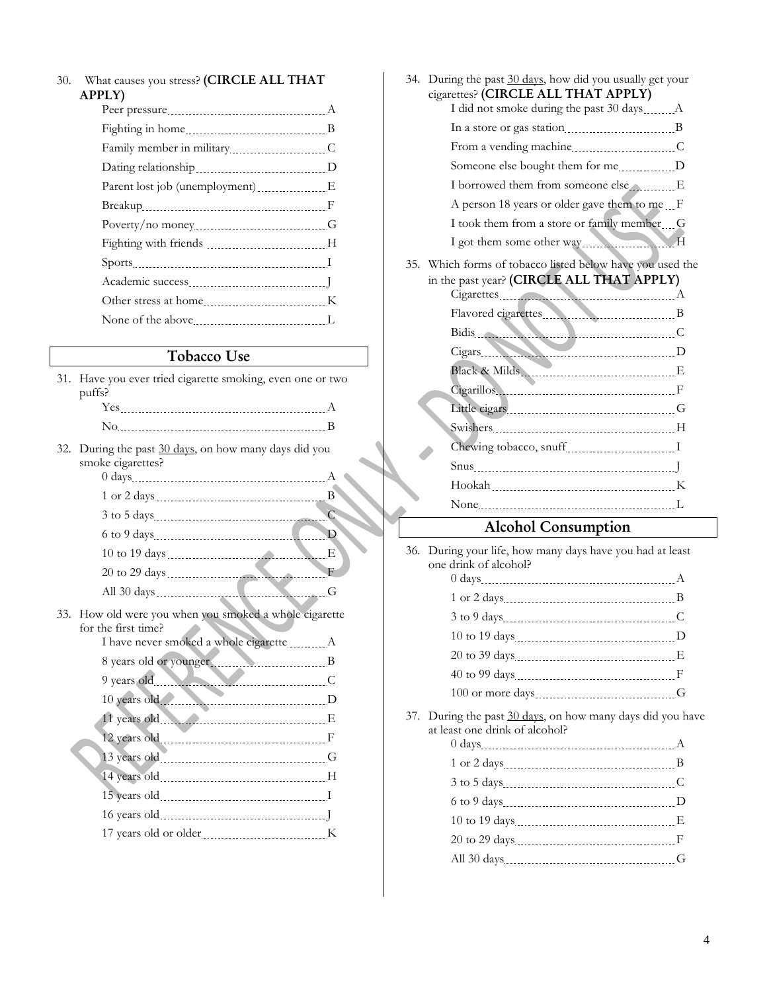#### 30. What causes you stress? **(CIRCLE ALL THAT APPLY)**

## **Tobacco Use**

| 31. | Have you ever tried cigarette smoking, even one or two                                                                                                                                                                         |                |
|-----|--------------------------------------------------------------------------------------------------------------------------------------------------------------------------------------------------------------------------------|----------------|
|     | puffs?                                                                                                                                                                                                                         |                |
|     |                                                                                                                                                                                                                                |                |
|     |                                                                                                                                                                                                                                |                |
| 32. | During the past 30 days, on how many days did you<br>smoke cigarettes?                                                                                                                                                         |                |
|     |                                                                                                                                                                                                                                |                |
|     |                                                                                                                                                                                                                                |                |
|     | 3 to 5 days 200 to 5 days 200 million and 200 million and 200 million and 3 to 5 days 200 million and 200 million and 200 million and 200 million and 200 million and 200 million and 200 million and 200 million and 200 mill |                |
|     | 6 to 9 days 2000 100 million and the state of the state of the state of the state of the state of the state of                                                                                                                 | $\overline{D}$ |
|     |                                                                                                                                                                                                                                |                |
|     |                                                                                                                                                                                                                                |                |
|     |                                                                                                                                                                                                                                |                |
| 33. | How old were you when you smoked a whole cigarette                                                                                                                                                                             |                |
|     | for the first time?                                                                                                                                                                                                            |                |
|     |                                                                                                                                                                                                                                |                |
|     | 8 years old or younger                                                                                                                                                                                                         |                |
|     | 9 years old C                                                                                                                                                                                                                  |                |
|     | 10 years old.                                                                                                                                                                                                                  |                |
|     | 11 years old Chamberland E                                                                                                                                                                                                     |                |
|     | 12 years old Figure 12 years old                                                                                                                                                                                               |                |
|     |                                                                                                                                                                                                                                |                |
|     |                                                                                                                                                                                                                                |                |
|     | 15 years old [15] years old [15] years old [15] years old [15] years old [15] years old [15] years old [15] years old [15] years old [15] years old [15] years old [15] years old [15] years old [15] years old [15] years old |                |
|     |                                                                                                                                                                                                                                |                |
|     |                                                                                                                                                                                                                                |                |

|     | 34. During the past 30 days, how did you usually get your<br>cigarettes? (CIRCLE ALL THAT APPLY)<br>I did not smoke during the past 30 days  A                                                 |
|-----|------------------------------------------------------------------------------------------------------------------------------------------------------------------------------------------------|
|     |                                                                                                                                                                                                |
|     |                                                                                                                                                                                                |
|     | Someone else bought them for me D                                                                                                                                                              |
|     | I borrowed them from someone else                                                                                                                                                              |
|     | A person 18 years or older gave them to me F                                                                                                                                                   |
|     | I took them from a store or family member G                                                                                                                                                    |
|     |                                                                                                                                                                                                |
|     | 35. Which forms of tobacco listed below have you used the<br>in the past year? (CIRCLE ALL THAT APPLY)<br>Cigarettes A<br>Flavored cigarettes<br>Bidis C<br>Cigars D<br>Black & Milds Miller E |
|     |                                                                                                                                                                                                |
|     |                                                                                                                                                                                                |
|     |                                                                                                                                                                                                |
|     |                                                                                                                                                                                                |
|     |                                                                                                                                                                                                |
|     |                                                                                                                                                                                                |
|     |                                                                                                                                                                                                |
|     | <b>Alcohol Consumption</b>                                                                                                                                                                     |
|     | 36. During your life, how many days have you had at least<br>one drink of alcohol?                                                                                                             |
|     |                                                                                                                                                                                                |
|     | 3 to 9 davs<br>– C                                                                                                                                                                             |
|     |                                                                                                                                                                                                |
|     |                                                                                                                                                                                                |
|     |                                                                                                                                                                                                |
|     |                                                                                                                                                                                                |
|     |                                                                                                                                                                                                |
| 37. | During the past 30 days, on how many days did you have<br>at least one drink of alcohol?                                                                                                       |
|     |                                                                                                                                                                                                |
|     |                                                                                                                                                                                                |

6 to 9 days 2000 to 9 days 2000 to 9 days 2000 to 9 days 2000 to 9 days 2000 to 9 days 2000 to 9 days 2000 to 9 days 2000 to 9 days 2000 to 9 days 2000 to 9 days 2000 to 9 days 2000 to 9 days 2000 to 9 days 2000 to 9 days 10 to 19 days E 20 to 29 days  $\frac{1}{20}$  and  $\frac{1}{20}$  and  $\frac{1}{20}$  and  $\frac{1}{20}$  and  $\frac{1}{20}$  and  $\frac{1}{20}$  and  $\frac{1}{20}$  and  $\frac{1}{20}$  and  $\frac{1}{20}$  and  $\frac{1}{20}$  and  $\frac{1}{20}$  and  $\frac{1}{20}$  and  $\frac{1}{20}$  and  $\frac{1}{20}$  a All 30 days G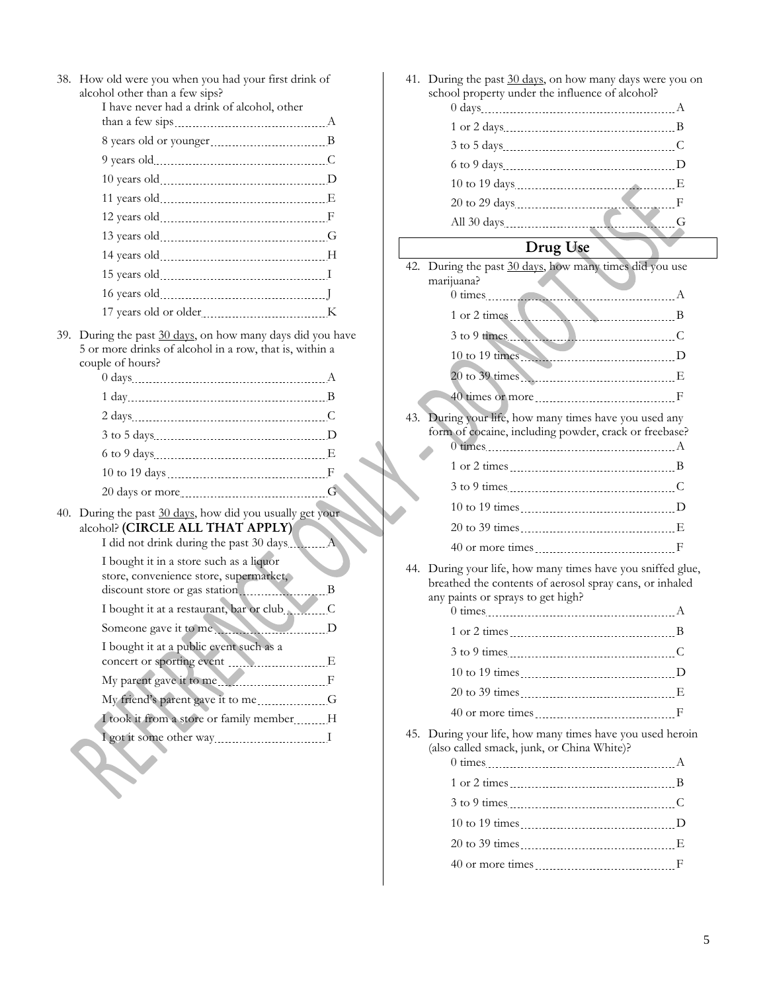| 38. How old were you when you had your first drink of<br>alcohol other than a few sips?<br>I have never had a drink of alcohol, other     |  |
|-------------------------------------------------------------------------------------------------------------------------------------------|--|
|                                                                                                                                           |  |
|                                                                                                                                           |  |
|                                                                                                                                           |  |
|                                                                                                                                           |  |
|                                                                                                                                           |  |
|                                                                                                                                           |  |
|                                                                                                                                           |  |
|                                                                                                                                           |  |
|                                                                                                                                           |  |
|                                                                                                                                           |  |
| 17 years old or older K                                                                                                                   |  |
| 39. During the past 30 days, on how many days did you have<br>5 or more drinks of alcohol in a row, that is, within a<br>couple of hours? |  |
|                                                                                                                                           |  |
|                                                                                                                                           |  |
|                                                                                                                                           |  |
|                                                                                                                                           |  |
|                                                                                                                                           |  |
|                                                                                                                                           |  |
|                                                                                                                                           |  |

| 20 days or more                                                                                                                              | G |
|----------------------------------------------------------------------------------------------------------------------------------------------|---|
| 40. During the past 30 days, how did you usually get your.<br>alcohol? (CIRCLE ALL THAT APPLY)<br>I did not drink during the past 30 days A. |   |
| I bought it in a store such as a liquor<br>store, convenience store, supermarket,                                                            |   |
|                                                                                                                                              |   |
| I bought it at a restaurant, bar or club                                                                                                     |   |
| Someone gave it to me                                                                                                                        |   |
| I bought it at a public event such as a                                                                                                      |   |
| concert or sporting event $\ldots$ $\ldots$ $\ldots$ $\ldots$                                                                                |   |
| My parent gave it to me                                                                                                                      |   |
|                                                                                                                                              |   |
| I took it from a store or family member H                                                                                                    |   |
|                                                                                                                                              |   |

| 41. | During the past 30 days, on how many days were you on<br>school property under the influence of alcohol?                                                                                                                       |  |
|-----|--------------------------------------------------------------------------------------------------------------------------------------------------------------------------------------------------------------------------------|--|
|     |                                                                                                                                                                                                                                |  |
|     |                                                                                                                                                                                                                                |  |
|     | 6 to 9 days <u>manually</u> D                                                                                                                                                                                                  |  |
|     |                                                                                                                                                                                                                                |  |
|     |                                                                                                                                                                                                                                |  |
|     | All 30 days Gas and the Community of Gas Community Community Community Community Community Community Community Community Community Community Community Community Community Community Community Community Community Community C |  |
|     | Drug Use                                                                                                                                                                                                                       |  |
| 42. | During the past 30 days, how many times did you use<br>marijuana?<br>0 times A                                                                                                                                                 |  |
|     | 1 or 2 times B                                                                                                                                                                                                                 |  |
|     | 3 to 9 times C                                                                                                                                                                                                                 |  |
|     | 10 to 19 times D                                                                                                                                                                                                               |  |
|     |                                                                                                                                                                                                                                |  |
|     | 20 to 39 times Manual Manual E                                                                                                                                                                                                 |  |
|     |                                                                                                                                                                                                                                |  |
| 43. | During your life, how many times have you used any<br>form of cocaine, including powder, crack or freebase?                                                                                                                    |  |
|     |                                                                                                                                                                                                                                |  |
|     |                                                                                                                                                                                                                                |  |
|     |                                                                                                                                                                                                                                |  |
|     |                                                                                                                                                                                                                                |  |
|     |                                                                                                                                                                                                                                |  |
|     | 44. During your life, how many times have you sniffed glue,<br>breathed the contents of aerosol spray cans, or inhaled<br>any paints or sprays to get high?                                                                    |  |
|     |                                                                                                                                                                                                                                |  |
|     | 3 to 9 times C                                                                                                                                                                                                                 |  |
|     |                                                                                                                                                                                                                                |  |
|     |                                                                                                                                                                                                                                |  |
|     | 40 or more times F                                                                                                                                                                                                             |  |
|     |                                                                                                                                                                                                                                |  |
| 45. | During your life, how many times have you used heroin<br>(also called smack, junk, or China White)?                                                                                                                            |  |
|     |                                                                                                                                                                                                                                |  |
|     |                                                                                                                                                                                                                                |  |
|     |                                                                                                                                                                                                                                |  |
|     |                                                                                                                                                                                                                                |  |
|     |                                                                                                                                                                                                                                |  |
|     |                                                                                                                                                                                                                                |  |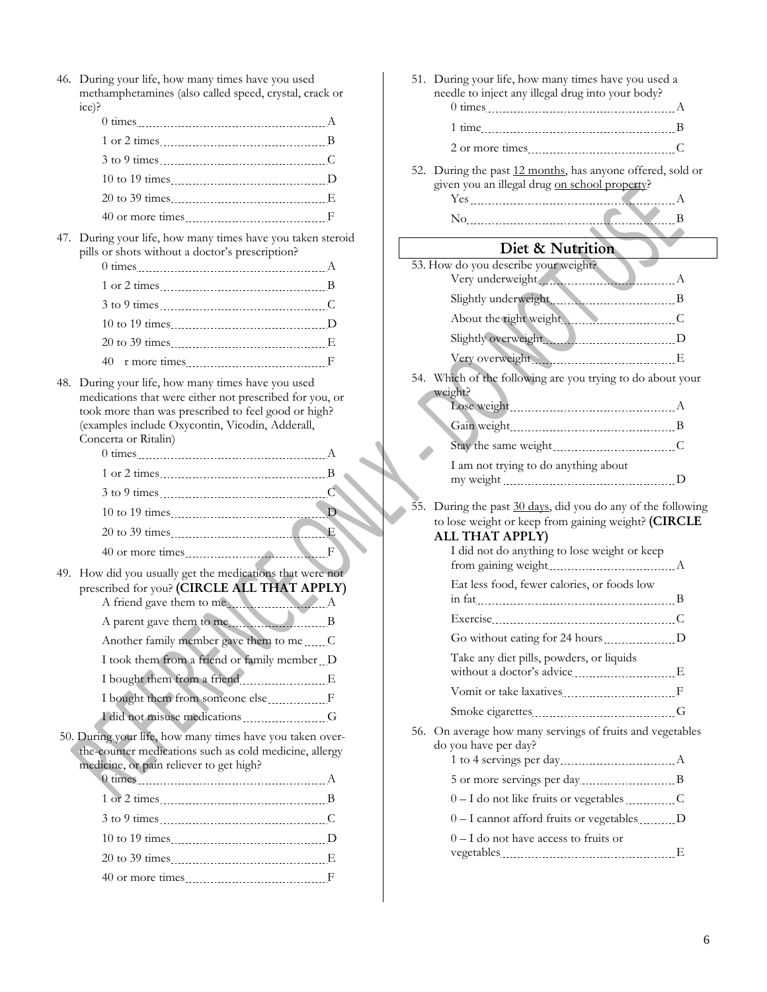46. During your life, how many times have you used methamphetamines (also called speed, crystal, crack or ice)?

| $3$ to 9 times $\qquad \qquad \qquad C$ |  |
|-----------------------------------------|--|
|                                         |  |
|                                         |  |
|                                         |  |

47. During your life, how many times have you taken steroid pills or shots without a doctor's prescription?

| $0 \text{ times}$ A                       |  |
|-------------------------------------------|--|
| 1 or 2 times B                            |  |
| $3$ to $9$ times $\qquad \qquad \qquad C$ |  |
|                                           |  |
|                                           |  |
|                                           |  |
|                                           |  |

L

48. During your life, how many times have you used medications that were either not prescribed for you, or took more than was prescribed to feel good or high? (examples include Oxycontin, Vicodin, Adderall, Concerta or Ritalin)

| $0 \text{ times}$ $A$ |  |
|-----------------------|--|
| $1$ or $2$ times $B$  |  |
|                       |  |
|                       |  |
|                       |  |
|                       |  |

- 49. How did you usually get the medications that were not prescribed for you? **(CIRCLE ALL THAT APPLY)** A friend gave them to me A parent gave them to me Another family member gave them to me C I took them from a friend or family member D I bought them from a friend ELEA I bought them from someone else F I did not misuse medications COMERCIAL CONSERVATION
- 50. During your life, how many times have you taken overthe-counter medications such as cold medicine, allergy medicine, or pain reliever to get high?

|     | 51. During your life, how many times have you used a<br>needle to inject any illegal drug into your body?                                                                                                                           |  |
|-----|-------------------------------------------------------------------------------------------------------------------------------------------------------------------------------------------------------------------------------------|--|
|     |                                                                                                                                                                                                                                     |  |
|     |                                                                                                                                                                                                                                     |  |
| 52. | During the past 12 months, has anyone offered, sold or                                                                                                                                                                              |  |
|     | given you an illegal drug on school property?                                                                                                                                                                                       |  |
|     | Yes A                                                                                                                                                                                                                               |  |
|     | $No$ $B$                                                                                                                                                                                                                            |  |
|     | Diet & Nutrition                                                                                                                                                                                                                    |  |
|     | 53. How do you describe your weight?                                                                                                                                                                                                |  |
|     | Very underweight                                                                                                                                                                                                                    |  |
|     |                                                                                                                                                                                                                                     |  |
|     |                                                                                                                                                                                                                                     |  |
|     |                                                                                                                                                                                                                                     |  |
|     |                                                                                                                                                                                                                                     |  |
|     | 54. Which of the following are you trying to do about your<br>weight?                                                                                                                                                               |  |
|     |                                                                                                                                                                                                                                     |  |
|     |                                                                                                                                                                                                                                     |  |
|     |                                                                                                                                                                                                                                     |  |
|     | I am not trying to do anything about                                                                                                                                                                                                |  |
|     | my weight <u>contained</u> in the property of the property of the property of the property of the property of the property of the property of the property of the property of the property of the property of the property of the p |  |
| 55. | During the past 30 days, did you do any of the following                                                                                                                                                                            |  |
|     | to lose weight or keep from gaining weight? (CIRCLE                                                                                                                                                                                 |  |
|     | ALL THAT APPLY)<br>I did not do anything to lose weight or keep                                                                                                                                                                     |  |
|     |                                                                                                                                                                                                                                     |  |
|     | Eat less food, fewer calories, or foods low                                                                                                                                                                                         |  |
|     |                                                                                                                                                                                                                                     |  |
|     |                                                                                                                                                                                                                                     |  |
|     | Go without eating for 24 hours D                                                                                                                                                                                                    |  |
|     | Take any diet pills, powders, or liquids                                                                                                                                                                                            |  |
|     |                                                                                                                                                                                                                                     |  |
|     |                                                                                                                                                                                                                                     |  |
|     | 56. On average how many servings of fruits and vegetables<br>do you have per day?                                                                                                                                                   |  |
|     |                                                                                                                                                                                                                                     |  |
|     |                                                                                                                                                                                                                                     |  |
|     | $0 - I$ do not like fruits or vegetables $\ldots$ C                                                                                                                                                                                 |  |
|     |                                                                                                                                                                                                                                     |  |
|     | $0 - I$ do not have access to fruits or<br>vegetables E                                                                                                                                                                             |  |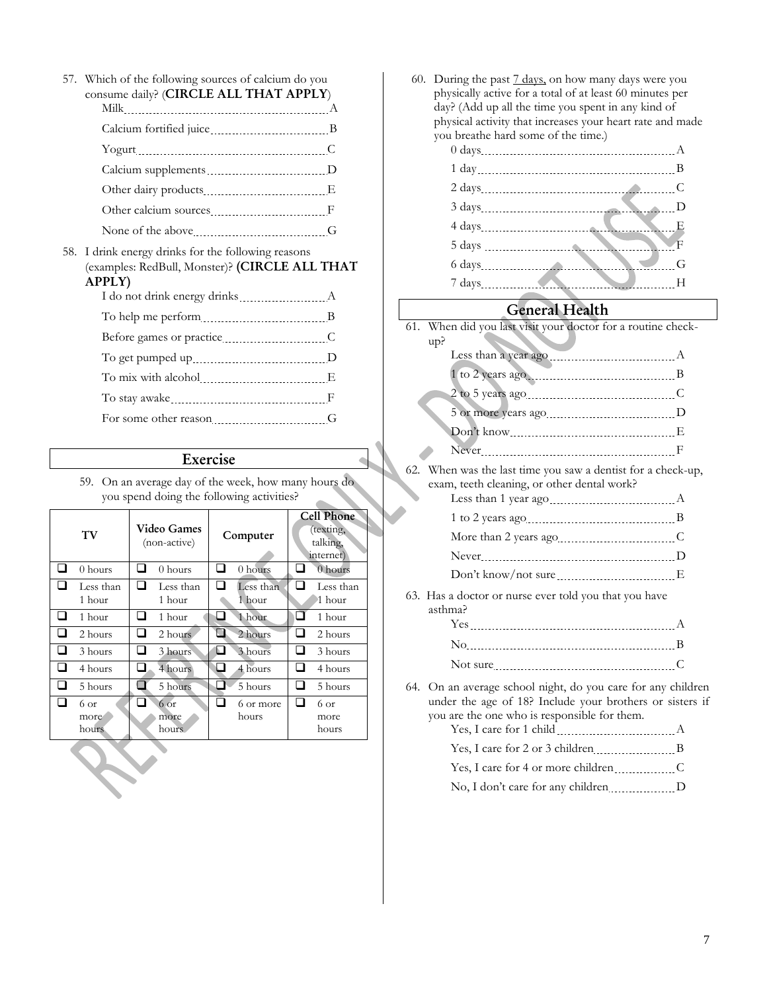|     | 57. Which of the following sources of calcium do you<br>consume daily? (CIRCLE ALL THAT APPLY) |  |  |  |  |
|-----|------------------------------------------------------------------------------------------------|--|--|--|--|
|     |                                                                                                |  |  |  |  |
|     |                                                                                                |  |  |  |  |
|     |                                                                                                |  |  |  |  |
|     |                                                                                                |  |  |  |  |
|     |                                                                                                |  |  |  |  |
|     |                                                                                                |  |  |  |  |
| 58. | I drink energy drinks for the following reasons                                                |  |  |  |  |
|     | (examples: RedBull, Monster)? (CIRCLE ALL THAT<br><b>APPLY</b> )                               |  |  |  |  |
|     |                                                                                                |  |  |  |  |
|     |                                                                                                |  |  |  |  |
|     |                                                                                                |  |  |  |  |
|     |                                                                                                |  |  |  |  |
|     | To mix with alcohol E                                                                          |  |  |  |  |
|     |                                                                                                |  |  |  |  |

## **Exercise**

59. On an average day of the week, how many hours do you spend doing the following activities?  $\overline{\phantom{a}}$ 

 $\hat{\mathcal{L}}$ 

| TV                    | <b>Video Games</b><br>(non-active) |           | Computer            | <b>Cell Phone</b><br>(texting,<br>talking,<br>internet) |
|-----------------------|------------------------------------|-----------|---------------------|---------------------------------------------------------|
| 0 hours               | 0 hours                            |           | $0$ hours           | 0 hours                                                 |
| Less than<br>1 hour   | 1 hour                             | Less than | Less than<br>1 hour | Less than<br>1 hour                                     |
| 1 hour                | I.<br>1 hour                       |           | 1 hour              | 1 hour                                                  |
| 2 hours               | 2 hours                            |           | 2 hours             | 2 hours                                                 |
| 3 hours               | 3 hours                            | ь.        | $3$ hours           | 3 hours                                                 |
| 4 hours               | 4 hours                            |           | 4 hours             | 4 hours                                                 |
| 5 hours               | 5 hours                            |           | 5 hours             | 5 hours                                                 |
| 6 or<br>more<br>hours | 6 or<br>more<br>hours              |           | 6 or more<br>hours  | 6 or<br>more<br>hours                                   |

| 60. | During the past 7 days, on how many days were you<br>physically active for a total of at least 60 minutes per<br>day? (Add up all the time you spent in any kind of<br>physical activity that increases your heart rate and made<br>you breathe hard some of the time.) |  |
|-----|-------------------------------------------------------------------------------------------------------------------------------------------------------------------------------------------------------------------------------------------------------------------------|--|
|     |                                                                                                                                                                                                                                                                         |  |
|     |                                                                                                                                                                                                                                                                         |  |
|     | 2 days 2.1 and 2.1 and 2.1 and 2.1 and 2.1 and 2.1 and 2.1 and 2.1 and 2.1 and 2.1 and 2.1 and 2.1 and 2.1 and 2.1 and 2.1 and 2.1 and 2.1 and 2.1 and 2.1 and 2.1 and 2.1 and 2.1 and 2.1 and 2.1 and 2.1 and 2.1 and 2.1 and                                          |  |
|     |                                                                                                                                                                                                                                                                         |  |
|     |                                                                                                                                                                                                                                                                         |  |
|     |                                                                                                                                                                                                                                                                         |  |
|     | 6 days G                                                                                                                                                                                                                                                                |  |
|     | 7 days H                                                                                                                                                                                                                                                                |  |
|     | <b>General Health</b>                                                                                                                                                                                                                                                   |  |
|     | 61. When did you last visit your doctor for a routine check-<br>up?                                                                                                                                                                                                     |  |
|     |                                                                                                                                                                                                                                                                         |  |
|     |                                                                                                                                                                                                                                                                         |  |
|     |                                                                                                                                                                                                                                                                         |  |
|     |                                                                                                                                                                                                                                                                         |  |
|     |                                                                                                                                                                                                                                                                         |  |
|     |                                                                                                                                                                                                                                                                         |  |
|     | 62. When was the last time you saw a dentist for a check-up,<br>exam, teeth cleaning, or other dental work?                                                                                                                                                             |  |
|     |                                                                                                                                                                                                                                                                         |  |
|     |                                                                                                                                                                                                                                                                         |  |
|     |                                                                                                                                                                                                                                                                         |  |
|     |                                                                                                                                                                                                                                                                         |  |
|     | 63. Has a doctor or nurse ever told you that you have<br>asthma?                                                                                                                                                                                                        |  |
|     |                                                                                                                                                                                                                                                                         |  |
|     |                                                                                                                                                                                                                                                                         |  |
|     |                                                                                                                                                                                                                                                                         |  |
|     | 64. On an average school night, do you care for any children<br>under the case of 193 Include your brothers or gistors if                                                                                                                                               |  |

under the age of 18? Include your brothers or sisters if you are the one who is responsible for them.

|  |  | Yes, I care for 4 or more children C |  |
|--|--|--------------------------------------|--|
|  |  | .                                    |  |

No, I don't care for any children D